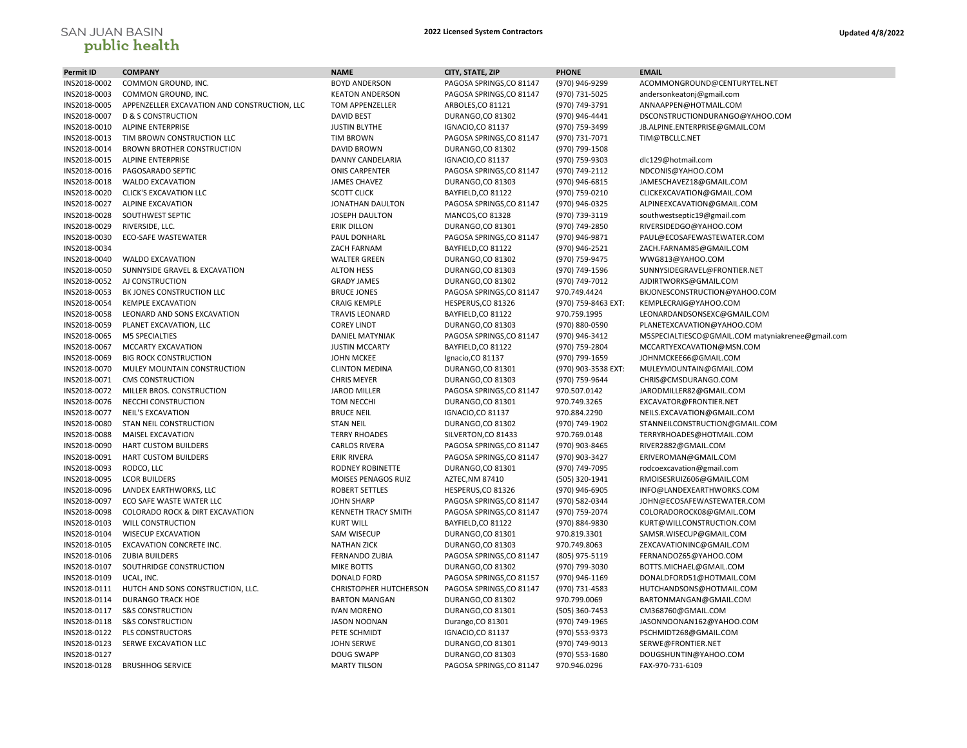## SAN JUAN BASIN<br>**public health**

| <b>Permit ID</b> | <b>COMPANY</b>                               | <b>NAME</b>                | CITY, STATE, ZIP         | <b>PHONE</b>        | <b>EMAIL</b>                                      |
|------------------|----------------------------------------------|----------------------------|--------------------------|---------------------|---------------------------------------------------|
| INS2018-0002     | COMMON GROUND, INC.                          | <b>BOYD ANDERSON</b>       | PAGOSA SPRINGS, CO 81147 | (970) 946-9299      | ACOMMONGROUND@CENTURYTEL.NET                      |
| INS2018-0003     | COMMON GROUND, INC.                          | <b>KEATON ANDERSON</b>     | PAGOSA SPRINGS, CO 81147 | (970) 731-5025      | andersonkeatonj@gmail.com                         |
| INS2018-0005     | APPENZELLER EXCAVATION AND CONSTRUCTION, LLC | <b>TOM APPENZELLER</b>     | ARBOLES, CO 81121        | (970) 749-3791      | ANNAAPPEN@HOTMAIL.COM                             |
| INS2018-0007     | <b>D &amp; S CONSTRUCTION</b>                | <b>DAVID BEST</b>          | DURANGO,CO 81302         | (970) 946-4441      | DSCONSTRUCTIONDURANGO@YAHOO.COM                   |
| INS2018-0010     | <b>ALPINE ENTERPRISE</b>                     | <b>JUSTIN BLYTHE</b>       | <b>IGNACIO,CO 81137</b>  | (970) 759-3499      | JB.ALPINE.ENTERPRISE@GMAIL.COM                    |
| INS2018-0013     | TIM BROWN CONSTRUCTION LLC                   | <b>TIM BROWN</b>           | PAGOSA SPRINGS, CO 81147 | (970) 731-7071      | TIM@TBCLLC.NET                                    |
| INS2018-0014     | <b>BROWN BROTHER CONSTRUCTION</b>            | DAVID BROWN                | DURANGO, CO 81302        | (970) 799-1508      |                                                   |
| INS2018-0015     | <b>ALPINE ENTERPRISE</b>                     | DANNY CANDELARIA           | <b>IGNACIO,CO 81137</b>  | (970) 759-9303      | dlc129@hotmail.com                                |
| INS2018-0016     | PAGOSARADO SEPTIC                            | <b>ONIS CARPENTER</b>      | PAGOSA SPRINGS, CO 81147 | (970) 749-2112      | NDCONIS@YAHOO.COM                                 |
| INS2018-0018     | <b>WALDO EXCAVATION</b>                      | <b>JAMES CHAVEZ</b>        | DURANGO,CO 81303         | (970) 946-6815      | JAMESCHAVEZ18@GMAIL.COM                           |
| INS2018-0020     | <b>CLICK'S EXCAVATION LLC</b>                | <b>SCOTT CLICK</b>         | BAYFIELD, CO 81122       | (970) 759-0210      | CLICKEXCAVATION@GMAIL.COM                         |
| INS2018-0027     | <b>ALPINE EXCAVATION</b>                     | JONATHAN DAULTON           | PAGOSA SPRINGS, CO 81147 | (970) 946-0325      | ALPINEEXCAVATION@GMAIL.COM                        |
| INS2018-0028     | SOUTHWEST SEPTIC                             | <b>JOSEPH DAULTON</b>      | <b>MANCOS,CO 81328</b>   | (970) 739-3119      | southwestseptic19@gmail.com                       |
| INS2018-0029     | RIVERSIDE, LLC.                              | <b>ERIK DILLON</b>         | DURANGO, CO 81301        | (970) 749-2850      | RIVERSIDEDGO@YAHOO.COM                            |
| INS2018-0030     | ECO-SAFE WASTEWATER                          | PAUL DONHARL               | PAGOSA SPRINGS, CO 81147 | (970) 946-9871      | PAUL@ECOSAFEWASTEWATER.COM                        |
| INS2018-0034     |                                              | ZACH FARNAM                | BAYFIELD, CO 81122       | (970) 946-2521      | ZACH.FARNAM85@GMAIL.COM                           |
| INS2018-0040     | <b>WALDO EXCAVATION</b>                      | <b>WALTER GREEN</b>        | DURANGO, CO 81302        | (970) 759-9475      | WWG813@YAHOO.COM                                  |
| INS2018-0050     | SUNNYSIDE GRAVEL & EXCAVATION                | <b>ALTON HESS</b>          | DURANGO, CO 81303        | (970) 749-1596      | SUNNYSIDEGRAVEL@FRONTIER.NET                      |
| INS2018-0052     | AJ CONSTRUCTION                              | <b>GRADY JAMES</b>         | DURANGO,CO 81302         | (970) 749-7012      | AJDIRTWORKS@GMAIL.COM                             |
| INS2018-0053     | BK JONES CONSTRUCTION LLC                    | <b>BRUCE JONES</b>         | PAGOSA SPRINGS, CO 81147 | 970.749.4424        | BKJONESCONSTRUCTION@YAHOO.COM                     |
| INS2018-0054     | <b>KEMPLE EXCAVATION</b>                     | <b>CRAIG KEMPLE</b>        | HESPERUS, CO 81326       | (970) 759-8463 EXT: | KEMPLECRAIG@YAHOO.COM                             |
| INS2018-0058     | LEONARD AND SONS EXCAVATION                  | <b>TRAVIS LEONARD</b>      | BAYFIELD, CO 81122       | 970.759.1995        | LEONARDANDSONSEXC@GMAIL.COM                       |
| INS2018-0059     | PLANET EXCAVATION, LLC                       | <b>COREY LINDT</b>         | DURANGO,CO 81303         | (970) 880-0590      | PLANETEXCAVATION@YAHOO.COM                        |
| INS2018-0065     | M5 SPECIALTIES                               | <b>DANIEL MATYNIAK</b>     | PAGOSA SPRINGS, CO 81147 | (970) 946-3412      | M5SPECIALTIESCO@GMAIL.COM matyniakrenee@gmail.com |
| INS2018-0067     | <b>MCCARTY EXCAVATION</b>                    | <b>JUSTIN MCCARTY</b>      | BAYFIELD, CO 81122       | (970) 759-2804      | MCCARTYEXCAVATION@MSN.COM                         |
| INS2018-0069     | <b>BIG ROCK CONSTRUCTION</b>                 | <b>JOHN MCKEE</b>          | Ignacio, CO 81137        | (970) 799-1659      | JOHNMCKEE66@GMAIL.COM                             |
| INS2018-0070     | MULEY MOUNTAIN CONSTRUCTION                  | <b>CLINTON MEDINA</b>      | DURANGO, CO 81301        | (970) 903-3538 EXT: | MULEYMOUNTAIN@GMAIL.COM                           |
| INS2018-0071     | <b>CMS CONSTRUCTION</b>                      | <b>CHRIS MEYER</b>         | DURANGO, CO 81303        | (970) 759-9644      | CHRIS@CMSDURANGO.COM                              |
| INS2018-0072     | MILLER BROS. CONSTRUCTION                    | <b>JAROD MILLER</b>        | PAGOSA SPRINGS, CO 81147 | 970.507.0142        | JARODMILLER82@GMAIL.COM                           |
| INS2018-0076     | NECCHI CONSTRUCTION                          | <b>TOM NECCHI</b>          | DURANGO,CO 81301         | 970.749.3265        | EXCAVATOR@FRONTIER.NET                            |
| INS2018-0077     | NEIL'S EXCAVATION                            | <b>BRUCE NEIL</b>          | <b>IGNACIO,CO 81137</b>  | 970.884.2290        | NEILS.EXCAVATION@GMAIL.COM                        |
| INS2018-0080     | STAN NEIL CONSTRUCTION                       | <b>STAN NEIL</b>           | DURANGO, CO 81302        | (970) 749-1902      | STANNEILCONSTRUCTION@GMAIL.COM                    |
| INS2018-0088     | <b>MAISEL EXCAVATION</b>                     | <b>TERRY RHOADES</b>       | SILVERTON, CO 81433      | 970.769.0148        | TERRYRHOADES@HOTMAIL.COM                          |
| INS2018-0090     | <b>HART CUSTOM BUILDERS</b>                  | <b>CARLOS RIVERA</b>       | PAGOSA SPRINGS, CO 81147 | (970) 903-8465      | RIVER2882@GMAIL.COM                               |
| INS2018-0091     | HART CUSTOM BUILDERS                         | <b>ERIK RIVERA</b>         | PAGOSA SPRINGS, CO 81147 | (970) 903-3427      | ERIVEROMAN@GMAIL.COM                              |
| INS2018-0093     | RODCO, LLC                                   | <b>RODNEY ROBINETTE</b>    | DURANGO,CO 81301         | (970) 749-7095      | rodcoexcavation@gmail.com                         |
| INS2018-0095     | <b>LCOR BUILDERS</b>                         | MOISES PENAGOS RUIZ        | AZTEC, NM 87410          | (505) 320-1941      | RMOISESRUIZ606@GMAIL.COM                          |
| INS2018-0096     | LANDEX EARTHWORKS, LLC                       | <b>ROBERT SETTLES</b>      | HESPERUS, CO 81326       | (970) 946-6905      | INFO@LANDEXEARTHWORKS.COM                         |
| INS2018-0097     | ECO SAFE WASTE WATER LLC                     | <b>JOHN SHARP</b>          | PAGOSA SPRINGS, CO 81147 | (970) 582-0344      | JOHN@ECOSAFEWASTEWATER.COM                        |
| INS2018-0098     | COLORADO ROCK & DIRT EXCAVATION              | <b>KENNETH TRACY SMITH</b> | PAGOSA SPRINGS, CO 81147 | (970) 759-2074      | COLORADOROCK08@GMAIL.COM                          |
| INS2018-0103     | <b>WILL CONSTRUCTION</b>                     | <b>KURT WILL</b>           | BAYFIELD, CO 81122       | (970) 884-9830      | KURT@WILLCONSTRUCTION.COM                         |
| INS2018-0104     | <b>WISECUP EXCAVATION</b>                    | SAM WISECUP                | DURANGO,CO 81301         | 970.819.3301        | SAMSR.WISECUP@GMAIL.COM                           |
| INS2018-0105     | EXCAVATION CONCRETE INC.                     | <b>NATHAN ZICK</b>         | DURANGO, CO 81303        | 970.749.8063        | ZEXCAVATIONINC@GMAIL.COM                          |
| INS2018-0106     | <b>ZUBIA BUILDERS</b>                        | <b>FERNANDO ZUBIA</b>      | PAGOSA SPRINGS, CO 81147 | (805) 975-5119      | FERNANDOZ65@YAHOO.COM                             |
| INS2018-0107     | SOUTHRIDGE CONSTRUCTION                      | <b>MIKE BOTTS</b>          | DURANGO,CO 81302         | (970) 799-3030      | BOTTS.MICHAEL@GMAIL.COM                           |
| INS2018-0109     | UCAL, INC.                                   | <b>DONALD FORD</b>         | PAGOSA SPRINGS, CO 81157 | (970) 946-1169      | DONALDFORD51@HOTMAIL.COM                          |
| INS2018-0111     | HUTCH AND SONS CONSTRUCTION, LLC.            | CHRISTOPHER HUTCHERSON     | PAGOSA SPRINGS, CO 81147 | (970) 731-4583      | HUTCHANDSONS@HOTMAIL.COM                          |
| INS2018-0114     | <b>DURANGO TRACK HOE</b>                     | <b>BARTON MANGAN</b>       | DURANGO, CO 81302        | 970.799.0069        | BARTONMANGAN@GMAIL.COM                            |
| INS2018-0117     | <b>S&amp;S CONSTRUCTION</b>                  | <b>IVAN MORENO</b>         | DURANGO, CO 81301        | (505) 360-7453      | CM368760@GMAIL.COM                                |
| INS2018-0118     | <b>S&amp;S CONSTRUCTION</b>                  | <b>JASON NOONAN</b>        | Durango, CO 81301        | (970) 749-1965      | JASONNOONAN162@YAHOO.COM                          |
| INS2018-0122     | PLS CONSTRUCTORS                             | PETE SCHMIDT               | <b>IGNACIO,CO 81137</b>  | (970) 553-9373      | PSCHMIDT268@GMAIL.COM                             |
| INS2018-0123     | SERWE EXCAVATION LLC                         | <b>JOHN SERWE</b>          | DURANGO,CO 81301         | (970) 749-9013      | SERWE@FRONTIER.NET                                |
| INS2018-0127     |                                              | <b>DOUG SWAPP</b>          | DURANGO, CO 81303        | (970) 553-1680      | DOUGSHUNTIN@YAHOO.COM                             |
| INS2018-0128     | <b>BRUSHHOG SERVICE</b>                      | <b>MARTY TILSON</b>        | PAGOSA SPRINGS, CO 81147 | 970.946.0296        | FAX-970-731-6109                                  |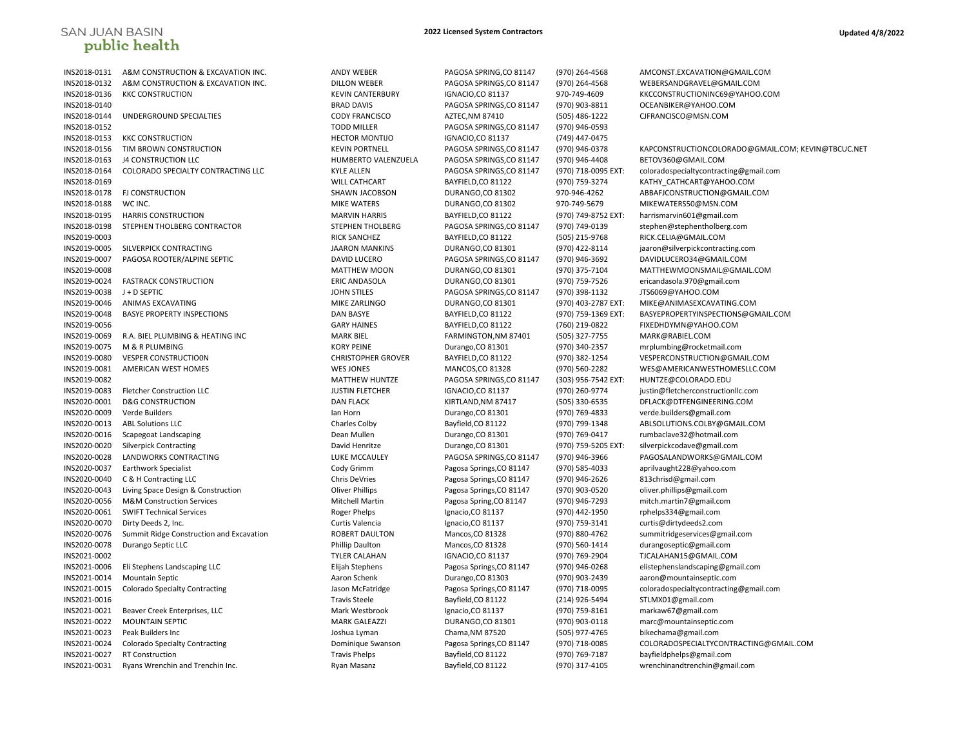## **SAN JUAN BASIN** public health

INS2018-0152 TODD MILLER PAGOSA SPRINGS,CO 81147 (970) 946-0593 INS2018-0153 KKC CONSTRUCTION HECTOR MONTIJO IGNACIO,CO 81137 (749) 447-0475

## **2022 Licensed System Contractors Updated 4/8/2022**

INS2018-0131 A&M CONSTRUCTION & EXCAVATION INC. ANDY WEBER PAGOSA SPRING,CO 81147 (970) 264-4568 AMCONST.EXCAVATION@GMAIL.COM INS2018-0132 A&M CONSTRUCTION & EXCAVATION INC. DILLON WEBER PAGOSA SPRINGS,CO 81147 (970) 264-4568 WEBERSANDGRAVEL@GMAIL.COM INS2018-0136 KKC CONSTRUCTION KEVIN CANTERBURY IGNACIO,CO 81137 970-749-4609 KKCCONSTRUCTIONINC69@YAHOO.COM INS2018-0140 BRAD DAVIS PAGOSA SPRINGS,CO 81147 (970) 903-8811 OCEANBIKER@YAHOO.COM INS2018-0144 UNDERGROUND SPECIALTIES CODY FRANCISCO AZTEC,NM 87410 (505) 486-1222 CJFRANCISCO@MSN.COM INS2018-0156 TIM BROWN CONSTRUCTION KEVIN PORTNELL PAGOSA SPRINGS,CO 81147 (970) 946-0378 KAPCONSTRUCTIONCOLORADO@GMAIL.COM; KEVIN@TBCUC.NET INS2018-0163 J4 CONSTRUCTION LLC HUMBERTO VALENZUELA PAGOSA SPRINGS,CO 81147 (970) 946-4408 BETOV360@GMAIL.COM INS2018-0164 COLORADO SPECIALTY CONTRACTING LLC KYLE ALLEN PAGOSA SPRINGS,CO 81147 (970) 718-0095 EXT: coloradospecialtycontracting@gmail.com INS2018-0169 WILL CATHCART BAYFIELD,CO 81122 (970) 759-3274 KATHY\_CATHCART@YAHOO.COM INS2018-0178 FJ CONSTRUCTION SHAWN JACOBSON DURANGO,CO 81302 970-946-4262 ABBAFJCONSTRUCTION@GMAIL.COM INS2018-0188 WC INC. NOTERS MIKE WATERS DURANGO,CO 81302 970-749-5679 MIKEWATERS50@MSN.COM INS2018-0195 HARRIS CONSTRUCTION MARVIN HARRIS BAYFIELD,CO 81122 (970) 749-8752 EXT: harrismarvin601@gmail.com INS2018-0198 STEPHEN THOLBERG CONTRACTOR STEPHEN THOLBERG PAGOSA SPRINGS,CO 81147 (970) 749-0139 stephen@stephentholberg.com INS2019-0003 RICK SANCHEZ BAYFIELD,CO 81122 (505) 215-9768 RICK.CELIA@GMAIL.COM INS2019-0005 SILVERPICK CONTRACTING JAARON MANKINS DURANGO,CO 81301 (970) 422-8114 jaaron@silverpickcontracting.com INS2019-0007 PAGOSA ROOTER/ALPINE SEPTIC DAVID LUCERO PAGOSA SPRINGS,CO 81147 (970) 946-3692 DAVIDLUCERO34@GMAIL.COM INS2019-0008 MATTHEW MOON DURANGO,CO 81301 (970) 375-7104 MATTHEWMOONSMAIL@GMAIL.COM INS2019-0024 FASTRACK CONSTRUCTION ERIC ANDASOLA DURANGO,CO 81301 (970) 759-7526 ericandasola.970@gmail.com INS2019-0038 J + D SEPTIC JOHN STILES PAGOSA SPRINGS,CO 81147 (970) 398-1132 JTS6069@YAHOO.COM INS2019-0046 ANIMAS EXCAVATING **MIKE ZARLINGO MIXE ZARLINGO** DURANGO,CO 81301 (970) 403-2787 EXT: MIKE@ANIMASEXCAVATING.COM INS2019-0048 BASYE PROPERTY INSPECTIONS DAN BASYE BAYFIELD,CO 81122 (970) 759-1369 EXT: BASYEPROPERTYINSPECTIONS@GMAIL.COM INS2019-0056 GARY HAINES BAYFIELD,CO 81122 (760) 219-0822 FIXEDHDYMN@YAHOO.COM INS2019-0069 R.A. BIEL PLUMBING & HEATING INC MARK BIEL FARMINGTON,NM 87401 (505) 327-7755 MARK@RABIEL.COM INS2019-0075 M & R PLUMBING KORY PEINE Durango,CO 81301 (970) 340-2357 mrplumbing@rocketmail.com INS2019-0080 VESPER CONSTRUCTIO0N CHRISTOPHER GROVER BAYFIELD,CO 81122 (970) 382-1254 VESPERCONSTRUCTION@GMAIL.COM INS2019-0081 AMERICAN WEST HOMES WES JONES MANCOS,CO 81328 (970) 560-2282 WES@AMERICANWESTHOMESLLC.COM INS2019-0082 MATTHEW HUNTZE PAGOSA SPRINGS,CO 81147 (303) 956-7542 EXT: HUNTZE@COLORADO.EDU INS2019-0083 Fletcher Construction LLC JUSTIN FLETCHER IGNACIO,CO 81137 (970) 260-9774 justin@fletcherconstructionllc.com INS2020-0001 D&G CONSTRUCTION DAN FLACK KIRTLAND,NM 87417 (505) 330-6535 DFLACK@DTFENGINEERING.COM INS2020-0009 Verde Builders Ian Horn Durango,CO 81301 (970) 769-4833 verde.builders@gmail.com INS2020-0013 ABL Solutions LLC Charles Colby Bayfield,CO 81122 (970) 799-1348 ABLSOLUTIONS.COLBY@GMAIL.COM INS2020-0016 Scapegoat Landscaping Dean Mullen Durango,CO 81301 (970) 769-0417 rumbaclave32@hotmail.com INS2020-0020 Silverpick Contracting David Henritze Durango,CO 81301 (970) 759-5205 EXT: silverpickcodave@gmail.com INS2020-0028 LANDWORKS CONTRACTING LUKE MCCAULEY PAGOSA SPRINGS,CO 81147 (970) 946-3966 PAGOSALANDWORKS@GMAIL.COM INS2020-0037 Earthwork Specialist Cody Grimm Pagosa Springs,CO 81147 (970) 585-4033 aprilvaught228@yahoo.com INS2020-0040 C & H Contracting LLC Chris DeVries Pagosa Springs,CO 81147 (970) 946-2626 813chrisd@gmail.com INS2020-0043 Living Space Design & Construction Oliver Phillips Pagosa Springs,CO 81147 (970) 903-0520 oliver.phillips@gmail.com INS2020-0056 M&M Construction Services Mitchell Martin Pagosa Spring,CO 81147 (970) 946-7293 mitch.martin7@gmail.com INS2020-0061 SWIFT Technical Services Computer Roger Phelps Roger Phelps Ignacio,CO 81137 (970) 442-1950 rphelps334@gmail.com INS2020-0070 Dirty Deeds 2, Inc. Curtis Valencia Ignacio,CO 81137 (970) 759-3141 curtis@dirtydeeds2.com INS2020-0076 Summit Ridge Construction and Excavation ROBERT DAULTON Mancos,CO 81328 (970) 880-4762 summitridgeservices@gmail.com INS2020-0078 Durango Septic LLC Phillip Daulton Mancos,CO 81328 (970) 560-1414 durangoseptic@gmail.com INS2021-0002 TYLER CALAHAN IGNACIO,CO 81137 (970) 769-2904 TJCALAHAN15@GMAIL.COM INS2021-0006 Eli Stephens Landscaping LLC Elijah Stephens Pagosa Springs,CO 81147 (970) 946-0268 elistephenslandscaping@gmail.com INS2021-0014 Mountain Septic Aaron Schenk Durango,CO 81303 (970) 903-2439 aaron@mountainseptic.com INS2021-0015 Colorado Specialty Contracting Jason McFatridge Pagosa Springs,CO 81147 (970) 718-0095 coloradospecialtycontracting@gmail.com INS2021-0016 Travis Steele Bayfield,CO 81122 (214) 926-5494 STLMX01@gmail.com INS2021-0021 Beaver Creek Enterprises, LLC Mark Westbrook Ignacio,CO 81137 (970) 759-8161 markaw67@gmail.com INS2021-0022 MOUNTAIN SEPTIC MARK GALEAZZI DURANGO,CO 81301 (970) 903-0118 marc@mountainseptic.com INS2021-0023 Peak Builders Inc Joshua Lyman Chama,NM 87520 (505) 977-4765 bikechama@gmail.com INS2021-0024 Colorado Specialty Contracting Dominique Swanson Pagosa Springs,CO 81147 (970) 718-0085 COLORADOSPECIALTYCONTRACTING@GMAIL.COM INS2021-0027 RT Construction Travis Phelps Bayfield,CO 81122 (970) 769-7187 bayfieldphelps@gmail.com INS2021-0031 Ryans Wrenchin and Trenchin Inc. Ryan Masanz Bayfield,CO 81122 (970) 317-4105 wrenchinandtrenchin@gmail.com